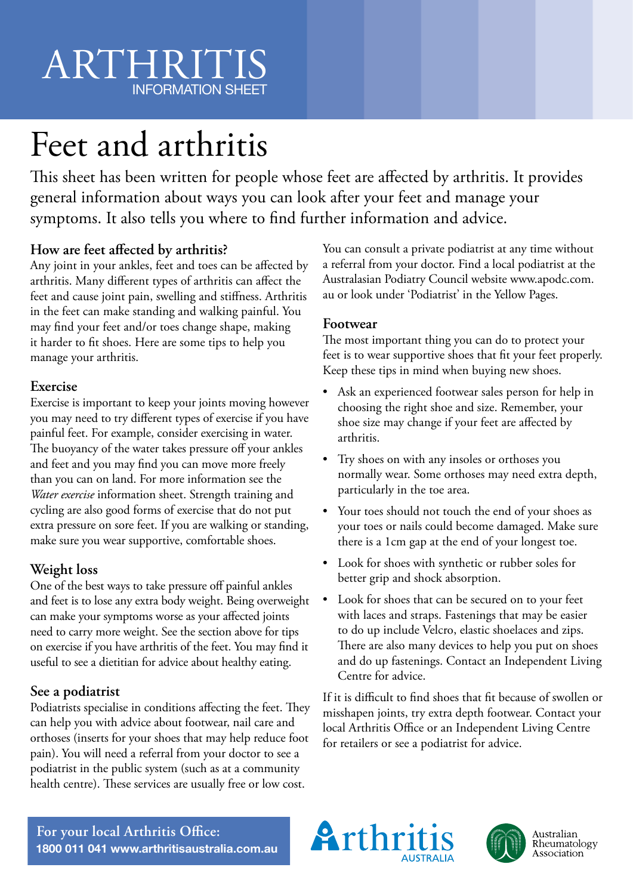# ARTHRITIS INFORMATION SHEET

# Feet and arthritis

This sheet has been written for people whose feet are affected by arthritis. It provides general information about ways you can look after your feet and manage your symptoms. It also tells you where to find further information and advice.

# **How are feet affected by arthritis?**

Any joint in your ankles, feet and toes can be affected by arthritis. Many different types of arthritis can affect the feet and cause joint pain, swelling and stiffness. Arthritis in the feet can make standing and walking painful. You may find your feet and/or toes change shape, making it harder to fit shoes. Here are some tips to help you manage your arthritis.

#### **Exercise**

Exercise is important to keep your joints moving however you may need to try different types of exercise if you have painful feet. For example, consider exercising in water. The buoyancy of the water takes pressure off your ankles and feet and you may find you can move more freely than you can on land. For more information see the *Water exercise* information sheet. Strength training and cycling are also good forms of exercise that do not put extra pressure on sore feet. If you are walking or standing, make sure you wear supportive, comfortable shoes.

## **Weight loss**

One of the best ways to take pressure off painful ankles and feet is to lose any extra body weight. Being overweight can make your symptoms worse as your affected joints need to carry more weight. See the section above for tips on exercise if you have arthritis of the feet. You may find it useful to see a dietitian for advice about healthy eating.

## **See a podiatrist**

Podiatrists specialise in conditions affecting the feet. They can help you with advice about footwear, nail care and orthoses (inserts for your shoes that may help reduce foot pain). You will need a referral from your doctor to see a podiatrist in the public system (such as at a community health centre). These services are usually free or low cost.

You can consult a private podiatrist at any time without a referral from your doctor. Find a local podiatrist at the Australasian Podiatry Council website www.apodc.com. au or look under 'Podiatrist' in the Yellow Pages.

#### **Footwear**

The most important thing you can do to protect your feet is to wear supportive shoes that fit your feet properly. Keep these tips in mind when buying new shoes.

- Ask an experienced footwear sales person for help in choosing the right shoe and size. Remember, your shoe size may change if your feet are affected by arthritis.
- Try shoes on with any insoles or orthoses you normally wear. Some orthoses may need extra depth, particularly in the toe area.
- Your toes should not touch the end of your shoes as your toes or nails could become damaged. Make sure there is a 1cm gap at the end of your longest toe.
- Look for shoes with synthetic or rubber soles for better grip and shock absorption.
- Look for shoes that can be secured on to your feet with laces and straps. Fastenings that may be easier to do up include Velcro, elastic shoelaces and zips. There are also many devices to help you put on shoes and do up fastenings. Contact an Independent Living Centre for advice.

If it is difficult to find shoes that fit because of swollen or misshapen joints, try extra depth footwear. Contact your local Arthritis Office or an Independent Living Centre for retailers or see a podiatrist for advice.

**For your local Arthritis Office: 1800 011 041 www.arthritisaustralia.com.au**